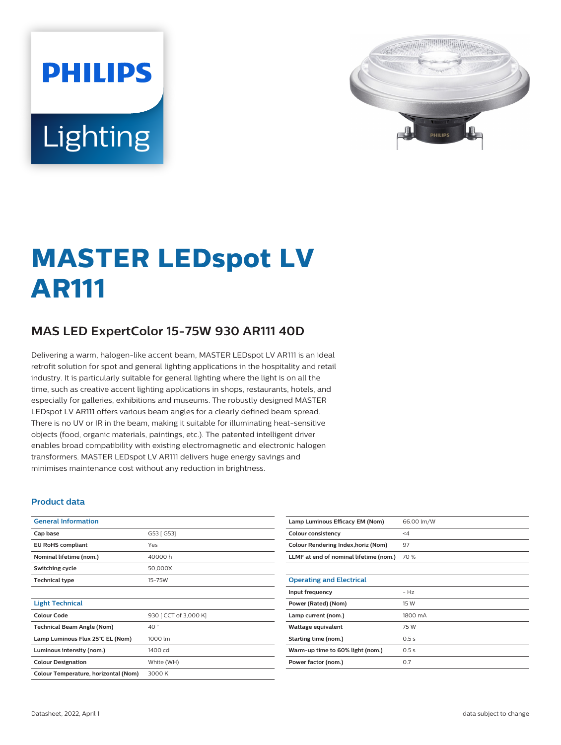# **PHILIPS** Lighting



# **MASTER LEDspot LV AR111**

# **MAS LED ExpertColor 15-75W 930 AR111 40D**

Delivering a warm, halogen-like accent beam, MASTER LEDspot LV AR111 is an ideal retrofit solution for spot and general lighting applications in the hospitality and retail industry. It is particularly suitable for general lighting where the light is on all the time, such as creative accent lighting applications in shops, restaurants, hotels, and especially for galleries, exhibitions and museums. The robustly designed MASTER LEDspot LV AR111 offers various beam angles for a clearly defined beam spread. There is no UV or IR in the beam, making it suitable for illuminating heat-sensitive objects (food, organic materials, paintings, etc.). The patented intelligent driver enables broad compatibility with existing electromagnetic and electronic halogen transformers. MASTER LEDspot LV AR111 delivers huge energy savings and minimises maintenance cost without any reduction in brightness.

#### **Product data**

| <b>General Information</b>           |                       |
|--------------------------------------|-----------------------|
| Cap base                             | G53 [ G53]            |
| <b>EU RoHS compliant</b>             | Yes                   |
| Nominal lifetime (nom.)              | 40000 h               |
| Switching cycle                      | 50,000X               |
| <b>Technical type</b>                | $15 - 75W$            |
|                                      |                       |
| <b>Light Technical</b>               |                       |
| Colour Code                          | 930 [ CCT of 3,000 K] |
| <b>Technical Beam Angle (Nom)</b>    | 40°                   |
| Lamp Luminous Flux 25°C EL (Nom)     | 1000 lm               |
| Luminous intensity (nom.)            | 1400 cd               |
| <b>Colour Designation</b>            | White (WH)            |
| Colour Temperature, horizontal (Nom) | 3000 K                |

| Lamp Luminous Efficacy EM (Nom)        | 66.00 lm/W |
|----------------------------------------|------------|
| Colour consistency                     | $\leq 4$   |
| Colour Rendering Index, horiz (Nom)    | 97         |
| LLMF at end of nominal lifetime (nom.) | 70 %       |
|                                        |            |
| <b>Operating and Electrical</b>        |            |
| Input frequency                        | $-Hz$      |
| Power (Rated) (Nom)                    | 15 W       |
| Lamp current (nom.)                    | 1800 mA    |
| Wattage equivalent                     | 75 W       |
| Starting time (nom.)                   | 0.5s       |
| Warm-up time to 60% light (nom.)       | 0.5s       |
| Power factor (nom.)                    | 0.7        |
|                                        |            |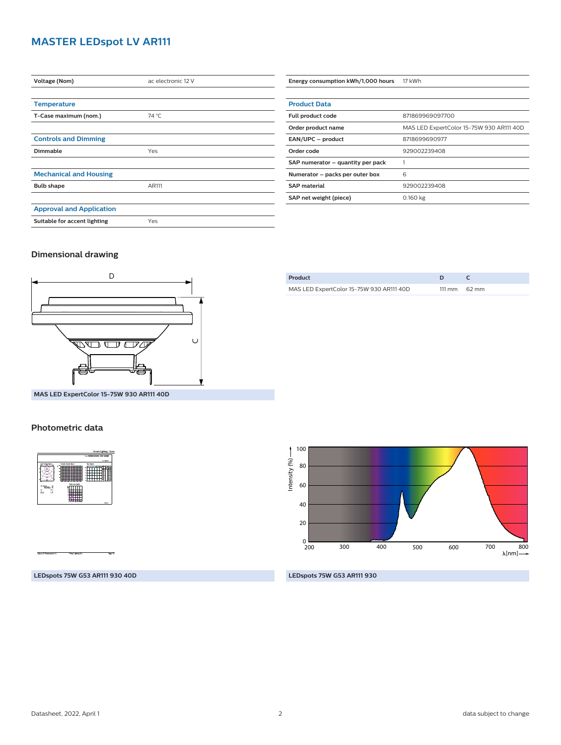## **MASTER LEDspot LV AR111**

| Voltage (Nom)                   | ac electronic 12 V |
|---------------------------------|--------------------|
|                                 |                    |
| <b>Temperature</b>              |                    |
| T-Case maximum (nom.)           | 74 °C              |
|                                 |                    |
| <b>Controls and Dimming</b>     |                    |
| Dimmable                        | Yes                |
|                                 |                    |
| <b>Mechanical and Housing</b>   |                    |
| <b>Bulb shape</b>               | AR111              |
|                                 |                    |
| <b>Approval and Application</b> |                    |
| Suitable for accent lighting    | Yes                |

| <b>Product Data</b>               |                                          |  |
|-----------------------------------|------------------------------------------|--|
| Full product code                 | 871869969097700                          |  |
| Order product name                | MAS LED ExpertColor 15-75W 930 AR111 40D |  |
| EAN/UPC - product                 | 8718699690977                            |  |
| Order code                        | 929002239408                             |  |
| SAP numerator - quantity per pack |                                          |  |
| Numerator - packs per outer box   | 6                                        |  |
| <b>SAP</b> material               | 929002239408                             |  |
| SAP net weight (piece)            | $0.160$ kg                               |  |
|                                   |                                          |  |

**Energy consumption kWh/1,000 hours** 17 kWh

#### **Dimensional drawing**



| Product                                  | ח |                        |
|------------------------------------------|---|------------------------|
| MAS LED ExpertColor 15-75W 930 AR111 40D |   | $111 \text{ mm}$ 62 mm |
|                                          |   |                        |

**MAS LED ExpertColor 15-75W 930 AR111 40D**

#### **Photometric data**



Intensity (%) -Intensity (%) 80 60 40 20  $_{\frac{0}{200}}$ 700 800 200 300 400 500 600  $\lambda$ [nm] $-$ 

**LEDspots 75W G53 AR111 930 40D**

#### **LEDspots 75W G53 AR111 930**

100